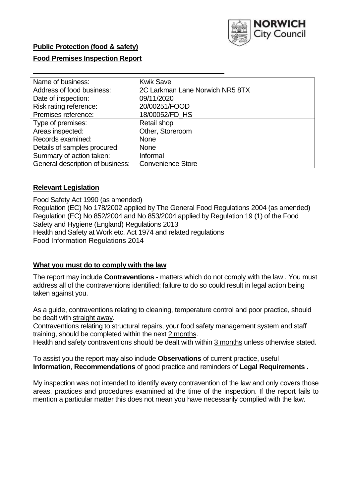

## **Food Premises Inspection Report**

| Name of business:                | <b>Kwik Save</b>                |
|----------------------------------|---------------------------------|
| Address of food business:        | 2C Larkman Lane Norwich NR5 8TX |
| Date of inspection:              | 09/11/2020                      |
| Risk rating reference:           | 20/00251/FOOD                   |
| Premises reference:              | 18/00052/FD HS                  |
| Type of premises:                | Retail shop                     |
| Areas inspected:                 | Other, Storeroom                |
| Records examined:                | <b>None</b>                     |
| Details of samples procured:     | <b>None</b>                     |
| Summary of action taken:         | Informal                        |
| General description of business: | <b>Convenience Store</b>        |

## **Relevant Legislation**

 Food Safety Act 1990 (as amended) Regulation (EC) No 178/2002 applied by The General Food Regulations 2004 (as amended) Regulation (EC) No 852/2004 and No 853/2004 applied by Regulation 19 (1) of the Food Safety and Hygiene (England) Regulations 2013 Health and Safety at Work etc. Act 1974 and related regulations Food Information Regulations 2014

#### **What you must do to comply with the law**

 The report may include **Contraventions** - matters which do not comply with the law . You must address all of the contraventions identified; failure to do so could result in legal action being taken against you.

 As a guide, contraventions relating to cleaning, temperature control and poor practice, should be dealt with straight away.

 Contraventions relating to structural repairs, your food safety management system and staff training, should be completed within the next 2 months.

Health and safety contraventions should be dealt with within 3 months unless otherwise stated.

 To assist you the report may also include **Observations** of current practice, useful **Information**, **Recommendations** of good practice and reminders of **Legal Requirements .** 

 My inspection was not intended to identify every contravention of the law and only covers those areas, practices and procedures examined at the time of the inspection. If the report fails to mention a particular matter this does not mean you have necessarily complied with the law.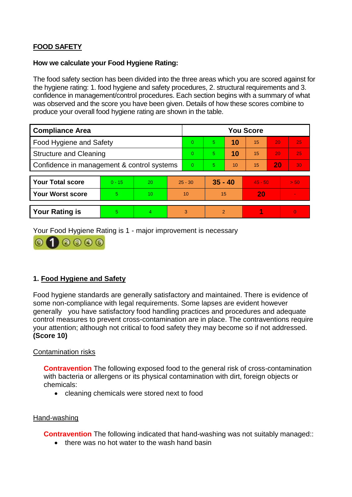# **FOOD SAFETY**

### **How we calculate your Food Hygiene Rating:**

 The food safety section has been divided into the three areas which you are scored against for the hygiene rating: 1. food hygiene and safety procedures, 2. structural requirements and 3. confidence in management/control procedures. Each section begins with a summary of what was observed and the score you have been given. Details of how these scores combine to produce your overall food hygiene rating are shown in the table.

| <b>Compliance Area</b>                     |          |                  |                | <b>You Score</b> |                |    |           |    |          |  |  |
|--------------------------------------------|----------|------------------|----------------|------------------|----------------|----|-----------|----|----------|--|--|
| Food Hygiene and Safety                    |          |                  |                | $\Omega$         | 5.             | 10 | 15        | 20 | 25       |  |  |
| <b>Structure and Cleaning</b>              |          |                  | $\overline{0}$ | 5                | 10             | 15 | 20        | 25 |          |  |  |
| Confidence in management & control systems |          |                  | $\Omega$       | 5                | 10             | 15 | 20        | 30 |          |  |  |
|                                            |          |                  |                |                  |                |    |           |    |          |  |  |
| <b>Your Total score</b>                    | $0 - 15$ | 20               |                | $25 - 30$        | $35 - 40$      |    | $45 - 50$ |    | > 50     |  |  |
| <b>Your Worst score</b>                    | 5        | 10 <sup>10</sup> |                | 10               | 15             |    | 20        |    |          |  |  |
|                                            |          |                  |                |                  |                |    |           |    |          |  |  |
| <b>Your Rating is</b>                      | 5        | 4                |                | 3                | $\overline{2}$ |    |           |    | $\Omega$ |  |  |

Your Food Hygiene Rating is 1 - major improvement is necessary



# **1. Food Hygiene and Safety**

 generally you have satisfactory food handling practices and procedures and adequate Food hygiene standards are generally satisfactory and maintained. There is evidence of some non-compliance with legal requirements. Some lapses are evident however control measures to prevent cross-contamination are in place. The contraventions require your attention; although not critical to food safety they may become so if not addressed. **(Score 10)** 

## Contamination risks

 **Contravention** The following exposed food to the general risk of cross-contamination with bacteria or allergens or its physical contamination with dirt, foreign objects or chemicals:

• cleaning chemicals were stored next to food

## Hand-washing

**Contravention** The following indicated that hand-washing was not suitably managed::

• there was no hot water to the wash hand basin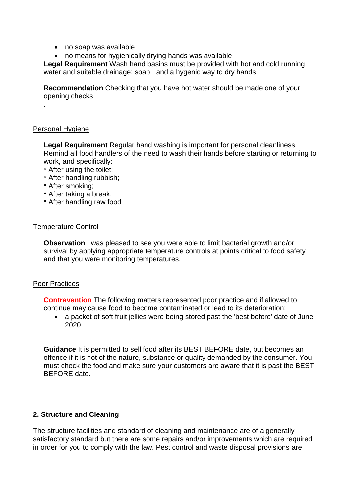- no soap was available
- no means for hygienically drying hands was available

 water and suitable drainage; soap and a hygenic way to dry hands **Legal Requirement** Wash hand basins must be provided with hot and cold running

 **Recommendation** Checking that you have hot water should be made one of your opening checks

### Personal Hygiene

.

 Remind all food handlers of the need to wash their hands before starting or returning to **Legal Requirement** Regular hand washing is important for personal cleanliness. work, and specifically:

- \* After using the toilet;
- \* After handling rubbish;
- \* After smoking;
- \* After taking a break;
- \* After handling raw food

#### Temperature Control

 survival by applying appropriate temperature controls at points critical to food safety **Observation** I was pleased to see you were able to limit bacterial growth and/or and that you were monitoring temperatures.

#### Poor Practices

 **Contravention** The following matters represented poor practice and if allowed to continue may cause food to become contaminated or lead to its deterioration:

• a packet of soft fruit jellies were being stored past the 'best before' date of June 2020

 must check the food and make sure your customers are aware that it is past the BEST **Guidance** It is permitted to sell food after its BEST BEFORE date, but becomes an offence if it is not of the nature, substance or quality demanded by the consumer. You BEFORE date.

## **2. Structure and Cleaning**

 The structure facilities and standard of cleaning and maintenance are of a generally satisfactory standard but there are some repairs and/or improvements which are required in order for you to comply with the law. Pest control and waste disposal provisions are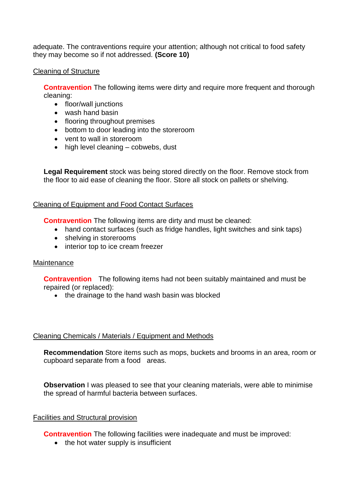adequate. The contraventions require your attention; although not critical to food safety they may become so if not addressed. **(Score 10)** 

## Cleaning of Structure

**Contravention** The following items were dirty and require more frequent and thorough cleaning:

- floor/wall junctions
- wash hand basin
- flooring throughout premises
- bottom to door leading into the storeroom
- vent to wall in storeroom
- high level cleaning cobwebs, dust

**Legal Requirement** stock was being stored directly on the floor. Remove stock from the floor to aid ease of cleaning the floor. Store all stock on pallets or shelving.

# Cleaning of Equipment and Food Contact Surfaces

**Contravention** The following items are dirty and must be cleaned:

- hand contact surfaces (such as fridge handles, light switches and sink taps)
- shelving in storerooms
- interior top to ice cream freezer

# **Maintenance**

 **Contravention** The following items had not been suitably maintained and must be repaired (or replaced):

• the drainage to the hand wash basin was blocked

# Cleaning Chemicals / Materials / Equipment and Methods

 cupboard separate from a food areas. **Recommendation** Store items such as mops, buckets and brooms in an area, room or

**Observation** I was pleased to see that your cleaning materials, were able to minimise the spread of harmful bacteria between surfaces.

# Facilities and Structural provision

**Contravention** The following facilities were inadequate and must be improved:

 $\bullet$  the hot water supply is insufficient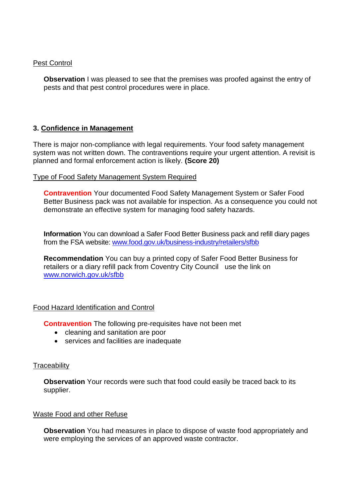### Pest Control

**Observation** I was pleased to see that the premises was proofed against the entry of pests and that pest control procedures were in place.

## **3. Confidence in Management**

 planned and formal enforcement action is likely. **(Score 20)**  There is major non-compliance with legal requirements. Your food safety management system was not written down. The contraventions require your urgent attention. A revisit is

### Type of Food Safety Management System Required

 demonstrate an effective system for managing food safety hazards. **Contravention** Your documented Food Safety Management System or Safer Food Better Business pack was not available for inspection. As a consequence you could not

 **Information** You can download a Safer Food Better Business pack and refill diary pages from the FSA website: www.food.gov.uk/business-industry/retailers/sfbb

 retailers or a diary refill pack from Coventry City Council use the link on www.norwich.gov.uk/sfbb **Recommendation** You can buy a printed copy of Safer Food Better Business for

## Food Hazard Identification and Control

**Contravention** The following pre-requisites have not been met

- cleaning and sanitation are poor
- services and facilities are inadequate

## **Traceability**

**Observation** Your records were such that food could easily be traced back to its supplier.

## Waste Food and other Refuse

 **Observation** You had measures in place to dispose of waste food appropriately and were employing the services of an approved waste contractor.